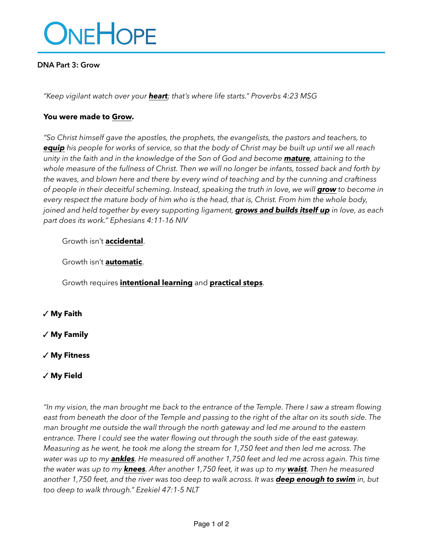

#### **DNA Part 3: Grow**

*"Keep vigilant watch over your heart; that's where life starts." Proverbs 4:23 MSG*

#### **You were made to Grow.**

*"So Christ himself gave the apostles, the prophets, the evangelists, the pastors and teachers, to equip his people for works of service, so that the body of Christ may be built up until we all reach unity in the faith and in the knowledge of the Son of God and become mature, attaining to the whole measure of the fullness of Christ. Then we will no longer be infants, tossed back and forth by the waves, and blown here and there by every wind of teaching and by the cunning and craftiness of people in their deceitful scheming. Instead, speaking the truth in love, we will grow* to become in *every respect the mature body of him who is the head, that is, Christ. From him the whole body, joined and held together by every supporting ligament, grows and builds itself up in love, as each part does its work." Ephesians 4:11-16 NIV*

# Growth isn't **accidental**.

Growth isn't **automatic**.

Growth requires **intentional learning** and **practical steps**.

✓ **My Faith**

✓ **My Family**

✓ **My Fitness**

# ✓ **My Field**

*"In my vision, the man brought me back to the entrance of the Temple. There I saw a stream flowing east from beneath the door of the Temple and passing to the right of the altar on its south side. The man brought me outside the wall through the north gateway and led me around to the eastern entrance. There I could see the water flowing out through the south side of the east gateway. Measuring as he went, he took me along the stream for 1,750 feet and then led me across. The water was up to my ankles. He measured off another 1,750 feet and led me across again. This time the water was up to my knees. After another 1,750 feet, it was up to my waist. Then he measured another 1,750 feet, and the river was too deep to walk across. It was deep enough to swim in, but too deep to walk through." Ezekiel 47:1-5 NLT*